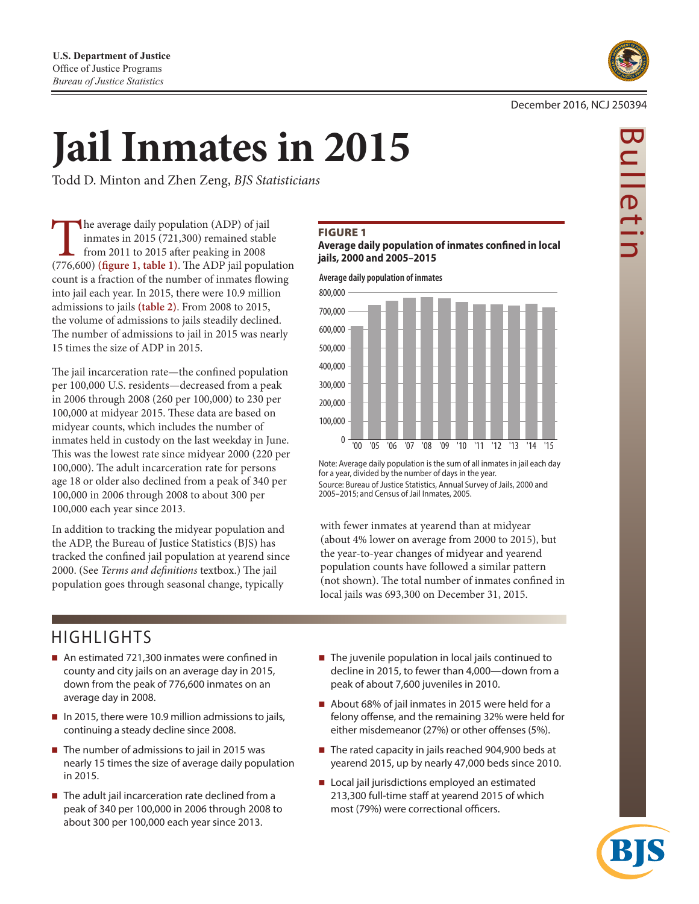

# **Jail Inmates in 2015**

Todd D. Minton and Zhen Zeng, *BJS Statisticians*

The average daily population (ADP) of jail inmates in 2015 (721,300) remained stable from 2011 to 2015 after peaking in 2008 (776,600) **(figure 1, table 1)**. The ADP jail population count is a fraction of the number of inmates flowing into jail each year. In 2015, there were 10.9 million admissions to jails **(table 2)**. From 2008 to 2015, the volume of admissions to jails steadily declined. The number of admissions to jail in 2015 was nearly 15 times the size of ADP in 2015.

The jail incarceration rate—the confined population per 100,000 U.S. residents—decreased from a peak in 2006 through 2008 (260 per 100,000) to 230 per 100,000 at midyear 2015. These data are based on midyear counts, which includes the number of inmates held in custody on the last weekday in June. This was the lowest rate since midyear 2000 (220 per 100,000). The adult incarceration rate for persons age 18 or older also declined from a peak of 340 per 100,000 in 2006 through 2008 to about 300 per 100,000 each year since 2013.

In addition to tracking the midyear population and the ADP, the Bureau of Justice Statistics (BJS) has tracked the confined jail population at yearend since 2000. (See *Terms and definitions* textbox.) The jail population goes through seasonal change, typically

## **FIGURE 1**

## **Average daily population of inmates confined in local jails, 2000 and 2005–2015**

**Average daily population of inmates**



Note: Average daily population is the sum of all inmates in jail each day for a year, divided by the number of days in the year. Source: Bureau of Justice Statistics, Annual Survey of Jails, 2000 and 2005–2015; and Census of Jail Inmates, 2005.

with fewer inmates at yearend than at midyear (about 4% lower on average from 2000 to 2015), but the year-to-year changes of midyear and yearend population counts have followed a similar pattern (not shown). The total number of inmates confined in local jails was 693,300 on December 31, 2015.

# HIGHLIGHTS

- An estimated 721,300 inmates were confined in county and city jails on an average day in 2015, down from the peak of 776,600 inmates on an average day in 2008.
- In 2015, there were 10.9 million admissions to jails, continuing a steady decline since 2008.
- $\blacksquare$  The number of admissions to jail in 2015 was nearly 15 times the size of average daily population in 2015.
- $\blacksquare$  The adult jail incarceration rate declined from a peak of 340 per 100,000 in 2006 through 2008 to about 300 per 100,000 each year since 2013.
- The juvenile population in local jails continued to decline in 2015, to fewer than 4,000—down from a peak of about 7,600 juveniles in 2010.
- About 68% of jail inmates in 2015 were held for a felony offense, and the remaining 32% were held for either misdemeanor (27%) or other offenses (5%).
- The rated capacity in jails reached 904,900 beds at yearend 2015, up by nearly 47,000 beds since 2010.
- Local jail jurisdictions employed an estimated 213,300 full-time staff at yearend 2015 of which most (79%) were correctional officers.



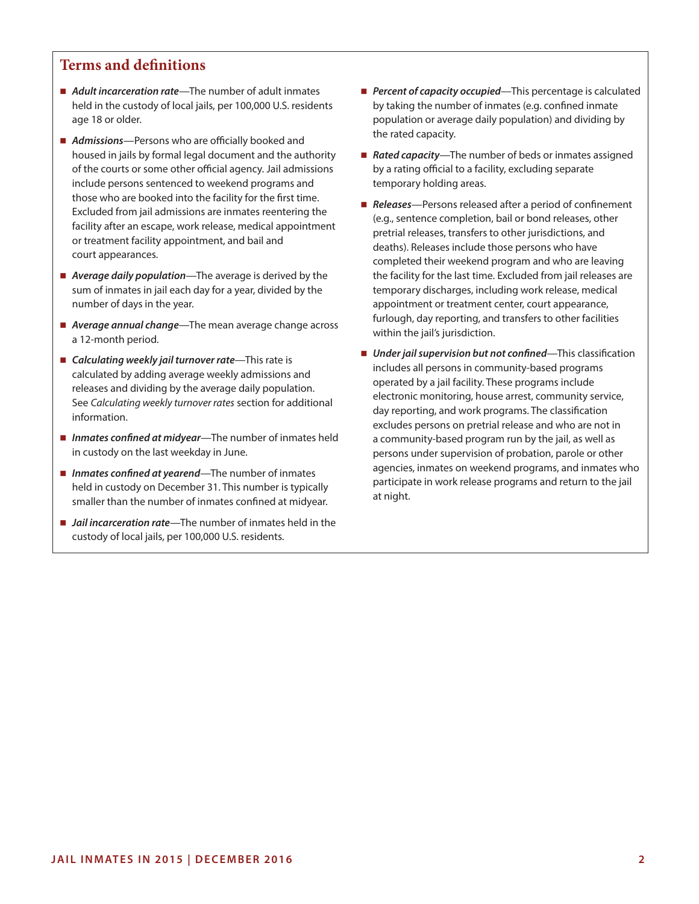## **Terms and definitions**

- *Adult incarceration rate*—The number of adult inmates held in the custody of local jails, per 100,000 U.S. residents age 18 or older.
- *Admissions*—Persons who are officially booked and housed in jails by formal legal document and the authority of the courts or some other official agency. Jail admissions include persons sentenced to weekend programs and those who are booked into the facility for the first time. Excluded from jail admissions are inmates reentering the facility after an escape, work release, medical appointment or treatment facility appointment, and bail and court appearances.
- *Average daily population*—The average is derived by the sum of inmates in jail each day for a year, divided by the number of days in the year.
- *Average annual change*—The mean average change across a 12-month period.
- *Calculating weekly jail turnover rate*—This rate is calculated by adding average weekly admissions and releases and dividing by the average daily population. See *Calculating weekly turnover rates* section for additional information.
- *Inmates confined at midyear*—The number of inmates held in custody on the last weekday in June.
- *Inmates confined at yearend*—The number of inmates held in custody on December 31. This number is typically smaller than the number of inmates confined at midyear.
- *Jail incarceration rate*—The number of inmates held in the custody of local jails, per 100,000 U.S. residents.
- **Percent of capacity occupied**—This percentage is calculated by taking the number of inmates (e.g. confined inmate population or average daily population) and dividing by the rated capacity.
- **Rated capacity**—The number of beds or inmates assigned by a rating official to a facility, excluding separate temporary holding areas.
- Releases—Persons released after a period of confinement (e.g., sentence completion, bail or bond releases, other pretrial releases, transfers to other jurisdictions, and deaths). Releases include those persons who have completed their weekend program and who are leaving the facility for the last time. Excluded from jail releases are temporary discharges, including work release, medical appointment or treatment center, court appearance, furlough, day reporting, and transfers to other facilities within the jail's jurisdiction.
- *Under jail supervision but not confined*—This classification includes all persons in community-based programs operated by a jail facility. These programs include electronic monitoring, house arrest, community service, day reporting, and work programs. The classification excludes persons on pretrial release and who are not in a community-based program run by the jail, as well as persons under supervision of probation, parole or other agencies, inmates on weekend programs, and inmates who participate in work release programs and return to the jail at night.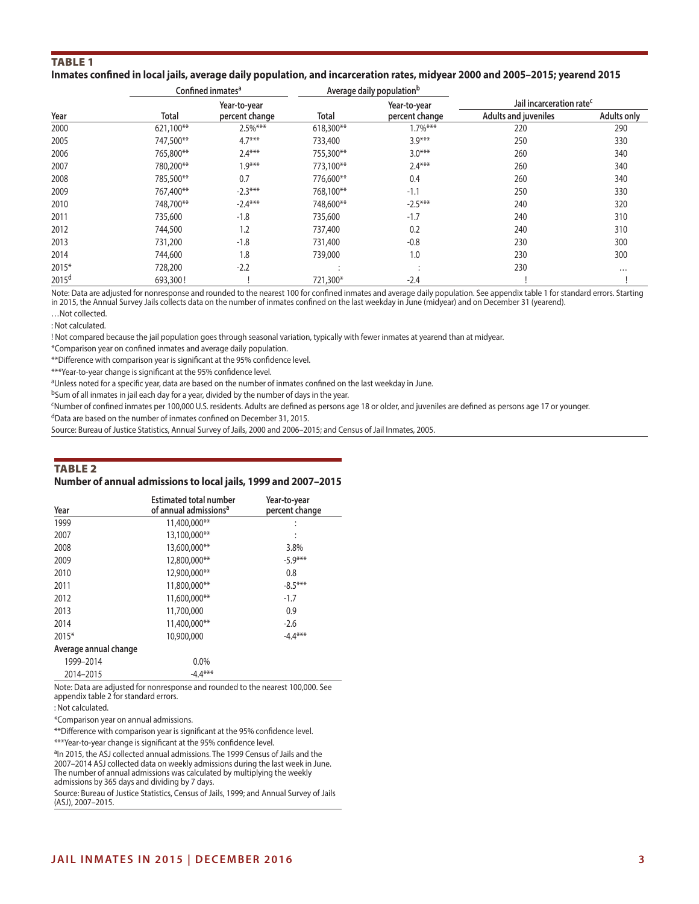## Table 1

## **Inmates confined in local jails, average daily population, and incarceration rates, midyear 2000 and 2005–2015; yearend 2015**

|                   |           | Confined inmates <sup>a</sup> |           | Average daily population <sup>b</sup> |                                      |                    |  |
|-------------------|-----------|-------------------------------|-----------|---------------------------------------|--------------------------------------|--------------------|--|
|                   |           | Year-to-year                  |           | Year-to-year                          | Jail incarceration rate <sup>c</sup> |                    |  |
| Year              | Total     | percent change                | Total     | percent change                        | <b>Adults and juveniles</b>          | <b>Adults only</b> |  |
| 2000              | 621,100** | 2.5%***                       | 618,300** | $1.7\%***$                            | 220                                  | 290                |  |
| 2005              | 747,500** | $4.7***$                      | 733,400   | $3.9***$                              | 250                                  | 330                |  |
| 2006              | 765,800** | $2.4***$                      | 755,300** | $3.0***$                              | 260                                  | 340                |  |
| 2007              | 780,200** | $1.9***$                      | 773,100** | $2.4***$                              | 260                                  | 340                |  |
| 2008              | 785,500** | 0.7                           | 776,600** | 0.4                                   | 260                                  | 340                |  |
| 2009              | 767,400** | $-2.3***$                     | 768,100** | $-1.1$                                | 250                                  | 330                |  |
| 2010              | 748,700** | $-2.4***$                     | 748,600** | $-2.5***$                             | 240                                  | 320                |  |
| 2011              | 735,600   | $-1.8$                        | 735,600   | $-1.7$                                | 240                                  | 310                |  |
| 2012              | 744,500   | 1.2                           | 737,400   | 0.2                                   | 240                                  | 310                |  |
| 2013              | 731,200   | $-1.8$                        | 731,400   | $-0.8$                                | 230                                  | 300                |  |
| 2014              | 744,600   | 1.8                           | 739,000   | 1.0                                   | 230                                  | 300                |  |
| 2015*             | 728,200   | $-2.2$                        |           |                                       | 230                                  | $\cdots$           |  |
| 2015 <sup>d</sup> | 693,300!  |                               | 721,300*  | $-2.4$                                |                                      |                    |  |

Note: Data are adjusted for nonresponse and rounded to the nearest 100 for confined inmates and average daily population. See appendix table 1 for standard errors. Starting in 2015, the Annual Survey Jails collects data on the number of inmates confined on the last weekday in June (midyear) and on December 31 (yearend).

…Not collected. : Not calculated.

! Not compared because the jail population goes through seasonal variation, typically with fewer inmates at yearend than at midyear.

\*Comparison year on confined inmates and average daily population.

\*\*Difference with comparison year is significant at the 95% confidence level.

\*\*\*Year-to-year change is significant at the 95% confidence level.

aUnless noted for a specific year, data are based on the number of inmates confined on the last weekday in June.

bSum of all inmates in jail each day for a year, divided by the number of days in the year.

cNumber of confined inmates per 100,000 U.S. residents. Adults are defined as persons age 18 or older, and juveniles are defined as persons age 17 or younger.

dData are based on the number of inmates confined on December 31, 2015.

Source: Bureau of Justice Statistics, Annual Survey of Jails, 2000 and 2006–2015; and Census of Jail Inmates, 2005.

#### Table 2

#### **Number of annual admissions to local jails, 1999 and 2007–2015**

| Year                  | <b>Estimated total number</b><br>of annual admissions <sup>a</sup> | Year-to-year<br>percent change |
|-----------------------|--------------------------------------------------------------------|--------------------------------|
| 1999                  | 11,400,000**                                                       |                                |
| 2007                  | 13,100,000**                                                       | ÷                              |
| 2008                  | 13,600,000**                                                       | 3.8%                           |
| 2009                  | 12,800,000**                                                       | $-5.9***$                      |
| 2010                  | 12,900,000**                                                       | 0.8                            |
| 2011                  | 11,800,000**                                                       | $-8.5***$                      |
| 2012                  | 11,600,000**                                                       | $-1.7$                         |
| 2013                  | 11,700,000                                                         | 0.9                            |
| 2014                  | 11,400,000**                                                       | $-2.6$                         |
| 2015*                 | 10,900,000                                                         | $-4.4***$                      |
| Average annual change |                                                                    |                                |
| 1999-2014             | $0.0\%$                                                            |                                |
| 2014-2015             | $-4.4***$                                                          |                                |

Note: Data are adjusted for nonresponse and rounded to the nearest 100,000. See appendix table 2 for standard errors.

: Not calculated.

\*Comparison year on annual admissions.

\*\*Difference with comparison year is significant at the 95% confidence level.

\*\*\*Year-to-year change is significant at the 95% confidence level.

<sup>a</sup>In 2015, the ASJ collected annual admissions. The 1999 Census of Jails and the 2007–2014 ASJ collected data on weekly admissions during the last week in June. The number of annual admissions was calculated by multiplying the weekly admissions by 365 days and dividing by 7 days.

Source: Bureau of Justice Statistics, Census of Jails, 1999; and Annual Survey of Jails (ASJ), 2007–2015.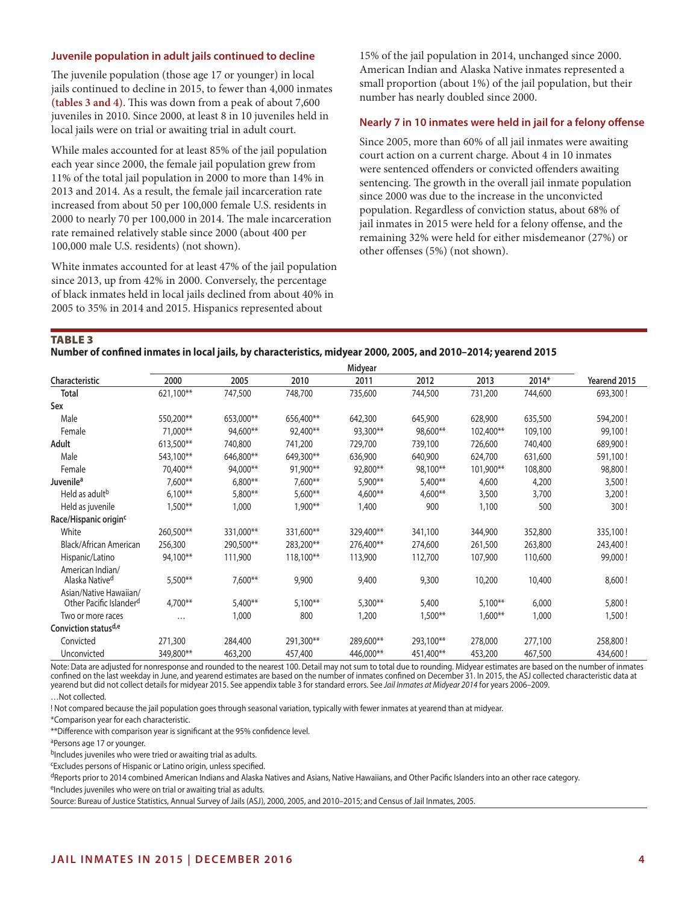## **Juvenile population in adult jails continued to decline**

The juvenile population (those age 17 or younger) in local jails continued to decline in 2015, to fewer than 4,000 inmates **(tables 3 and 4)**. This was down from a peak of about 7,600 juveniles in 2010. Since 2000, at least 8 in 10 juveniles held in local jails were on trial or awaiting trial in adult court.

While males accounted for at least 85% of the jail population each year since 2000, the female jail population grew from 11% of the total jail population in 2000 to more than 14% in 2013 and 2014. As a result, the female jail incarceration rate increased from about 50 per 100,000 female U.S. residents in 2000 to nearly 70 per 100,000 in 2014. The male incarceration rate remained relatively stable since 2000 (about 400 per 100,000 male U.S. residents) (not shown).

White inmates accounted for at least 47% of the jail population since 2013, up from 42% in 2000. Conversely, the percentage of black inmates held in local jails declined from about 40% in 2005 to 35% in 2014 and 2015. Hispanics represented about

15% of the jail population in 2014, unchanged since 2000. American Indian and Alaska Native inmates represented a small proportion (about 1%) of the jail population, but their number has nearly doubled since 2000.

## **Nearly 7 in 10 inmates were held in jail for a felony offense**

Since 2005, more than 60% of all jail inmates were awaiting court action on a current charge. About 4 in 10 inmates were sentenced offenders or convicted offenders awaiting sentencing. The growth in the overall jail inmate population since 2000 was due to the increase in the unconvicted population. Regardless of conviction status, about 68% of jail inmates in 2015 were held for a felony offense, and the remaining 32% were held for either misdemeanor (27%) or other offenses (5%) (not shown).

Table 3

## **Number of confined inmates in local jails, by characteristics, midyear 2000, 2005, and 2010–2014; yearend 2015**

|                                                               | Midyear   |           |           |           |           |           |         |              |
|---------------------------------------------------------------|-----------|-----------|-----------|-----------|-----------|-----------|---------|--------------|
| Characteristic                                                | 2000      | 2005      | 2010      | 2011      | 2012      | 2013      | 2014*   | Yearend 2015 |
| Total                                                         | 621,100** | 747,500   | 748,700   | 735,600   | 744,500   | 731,200   | 744,600 | 693,300!     |
| Sex                                                           |           |           |           |           |           |           |         |              |
| Male                                                          | 550,200** | 653,000** | 656,400** | 642,300   | 645,900   | 628,900   | 635,500 | 594,200!     |
| Female                                                        | 71,000**  | 94,600**  | 92,400**  | 93,300**  | 98,600**  | 102,400** | 109,100 | 99,100!      |
| Adult                                                         | 613,500** | 740,800   | 741,200   | 729,700   | 739,100   | 726,600   | 740,400 | 689,900!     |
| Male                                                          | 543,100** | 646,800** | 649,300** | 636,900   | 640,900   | 624,700   | 631,600 | 591,100!     |
| Female                                                        | 70,400**  | 94,000**  | 91,900**  | 92,800**  | 98,100**  | 101,900** | 108,800 | 98,800!      |
| Juvenile <sup>a</sup>                                         | $7,600**$ | $6,800**$ | $7,600**$ | 5,900**   | $5,400**$ | 4,600     | 4,200   | 3,500!       |
| Held as adult <sup>b</sup>                                    | $6,100**$ | 5,800**   | 5,600**   | 4,600**   | $4,600**$ | 3,500     | 3,700   | 3,200!       |
| Held as juvenile                                              | $1,500**$ | 1,000     | 1,900**   | 1,400     | 900       | 1,100     | 500     | 300!         |
| Race/Hispanic origin <sup>c</sup>                             |           |           |           |           |           |           |         |              |
| White                                                         | 260,500** | 331,000** | 331,600** | 329,400** | 341,100   | 344,900   | 352,800 | 335,100!     |
| Black/African American                                        | 256,300   | 290,500** | 283,200** | 276,400** | 274,600   | 261,500   | 263,800 | 243,400!     |
| Hispanic/Latino                                               | 94,100**  | 111,900   | 118,100** | 113,900   | 112,700   | 107,900   | 110,600 | 99,000!      |
| American Indian/<br>Alaska Native <sup>d</sup>                | 5,500**   | 7,600**   | 9,900     | 9,400     | 9,300     | 10,200    | 10,400  | 8,600!       |
| Asian/Native Hawaiian/<br>Other Pacific Islander <sup>d</sup> | 4,700**   | 5,400**   | $5,100**$ | 5,300**   | 5,400     | $5,100**$ | 6,000   | 5,800!       |
| Two or more races                                             | .         | 1,000     | 800       | 1,200     | $1,500**$ | $1,600**$ | 1,000   | 1,500!       |
| Conviction status <sup>d,e</sup>                              |           |           |           |           |           |           |         |              |
| Convicted                                                     | 271,300   | 284,400   | 291,300** | 289,600** | 293,100** | 278,000   | 277,100 | 258,800!     |
| Unconvicted                                                   | 349,800** | 463,200   | 457,400   | 446,000** | 451,400** | 453,200   | 467,500 | 434,600!     |

Note: Data are adjusted for nonresponse and rounded to the nearest 100. Detail may not sum to total due to rounding. Midyear estimates are based on the number of inmates confined on the last weekday in June, and yearend estimates are based on the number of inmates confined on December 31. In 2015, the ASJ collected characteristic data at yearend but did not collect details for midyear 2015. See appendix table 3 for standard errors. See *Jail Inmates at Midyear 2014* for years 2006–2009. …Not collected.

! Not compared because the jail population goes through seasonal variation, typically with fewer inmates at yearend than at midyear.

\*Comparison year for each characteristic.

\*\*Difference with comparison year is significant at the 95% confidence level.

aPersons age 17 or younger.

bIncludes juveniles who were tried or awaiting trial as adults.

cExcludes persons of Hispanic or Latino origin, unless specified.

<sup>d</sup>Reports prior to 2014 combined American Indians and Alaska Natives and Asians, Native Hawaiians, and Other Pacific Islanders into an other race category.

eIncludes juveniles who were on trial or awaiting trial as adults.

Source: Bureau of Justice Statistics, Annual Survey of Jails (ASJ), 2000, 2005, and 2010–2015; and Census of Jail Inmates, 2005.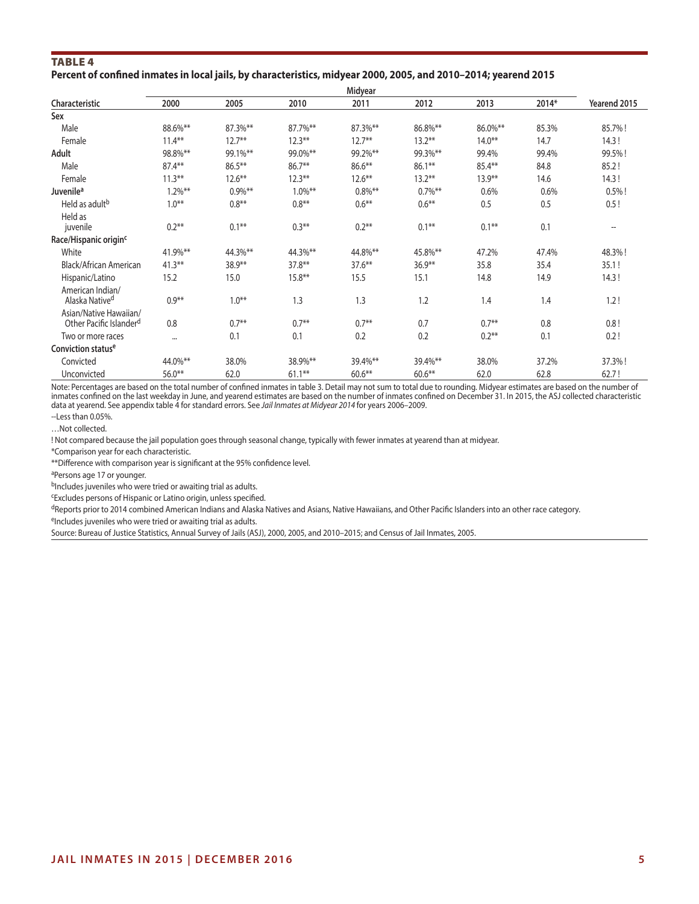## TABLE<sub>4</sub>

## **Percent of confined inmates in local jails, by characteristics, midyear 2000, 2005, and 2010–2014; yearend 2015**

| 2000       | 2005       | 2010       | 2011       | 2012       | 2013      | 2014* | Yearend 2015 |
|------------|------------|------------|------------|------------|-----------|-------|--------------|
|            |            |            |            |            |           |       |              |
| 88.6%**    | 87.3%**    | 87.7%**    | 87.3%**    | 86.8%**    | 86.0%**   | 85.3% | 85.7%!       |
| $11.4***$  | $12.7***$  | $12.3***$  | $12.7***$  | $13.2***$  | $14.0**$  | 14.7  | 14.3!        |
| 98.8%**    | 99.1%**    | 99.0%**    | 99.2%**    | 99.3%**    | 99.4%     | 99.4% | 99.5%!       |
| $87.4***$  | $86.5***$  | $86.7**$   | $86.6***$  | $86.1***$  | $85.4***$ | 84.8  | 85.2!        |
| $11.3***$  | $12.6***$  | $12.3***$  | $12.6***$  | $13.2***$  | $13.9**$  | 14.6  | 14.3!        |
| $1.2\%$ ** | $0.9\%$ ** | $1.0\%$ ** | $0.8\%$ ** | $0.7\%$ ** | 0.6%      | 0.6%  | $0.5%$ !     |
| $1.0***$   | $0.8**$    | $0.8**$    | $0.6***$   | $0.6***$   | 0.5       | 0.5   | 0.5!         |
| $0.2***$   | $0.1***$   | $0.3***$   | $0.2**$    | $0.1***$   | $0.1***$  | 0.1   | --           |
|            |            |            |            |            |           |       |              |
| 41.9%**    | 44.3%**    | 44.3%**    | 44.8%**    | 45.8%**    | 47.2%     | 47.4% | 48.3%!       |
| $41.3**$   | 38.9**     | $37.8**$   | $37.6***$  | $36.9**$   | 35.8      | 35.4  | 35.1!        |
| 15.2       | 15.0       | $15.8***$  | 15.5       | 15.1       | 14.8      | 14.9  | 14.3!        |
| $0.9***$   | $1.0***$   | 1.3        | 1.3        | 1.2        | 1.4       | 1.4   | 1.2!         |
| 0.8        | $0.7***$   | $0.7**$    | $0.7**$    | 0.7        | $0.7**$   | 0.8   | 0.8!         |
|            | 0.1        | 0.1        | 0.2        | 0.2        | $0.2**$   | 0.1   | 0.2!         |
|            |            |            |            |            |           |       |              |
| 44.0%**    | 38.0%      | 38.9%**    | 39.4%**    | 39.4%**    | 38.0%     | 37.2% | 37.3%!       |
| $56.0**$   | 62.0       | $61.1**$   | $60.6**$   | $60.6**$   | 62.0      | 62.8  | 62.7!        |
|            |            |            |            | Midyear    |           |       |              |

Note: Percentages are based on the total number of confined inmates in table 3. Detail may not sum to total due to rounding. Midyear estimates are based on the number of inmates confined on the last weekday in June, and yearend estimates are based on the number of inmates confined on December 31. In 2015, the ASJ collected characteristic data at yearend. See appendix table 4 for standard errors. See *Jail Inmates at Midyear 2014* for years 2006–2009.

--Less than 0.05%.

…Not collected.

! Not compared because the jail population goes through seasonal change, typically with fewer inmates at yearend than at midyear.

\*Comparison year for each characteristic.

\*\*Difference with comparison year is significant at the 95% confidence level.

aPersons age 17 or younger.

 $b$ Includes juveniles who were tried or awaiting trial as adults.

cExcludes persons of Hispanic or Latino origin, unless specified.

dReports prior to 2014 combined American Indians and Alaska Natives and Asians, Native Hawaiians, and Other Pacific Islanders into an other race category.

eIncludes juveniles who were tried or awaiting trial as adults.

Source: Bureau of Justice Statistics, Annual Survey of Jails (ASJ), 2000, 2005, and 2010–2015; and Census of Jail Inmates, 2005.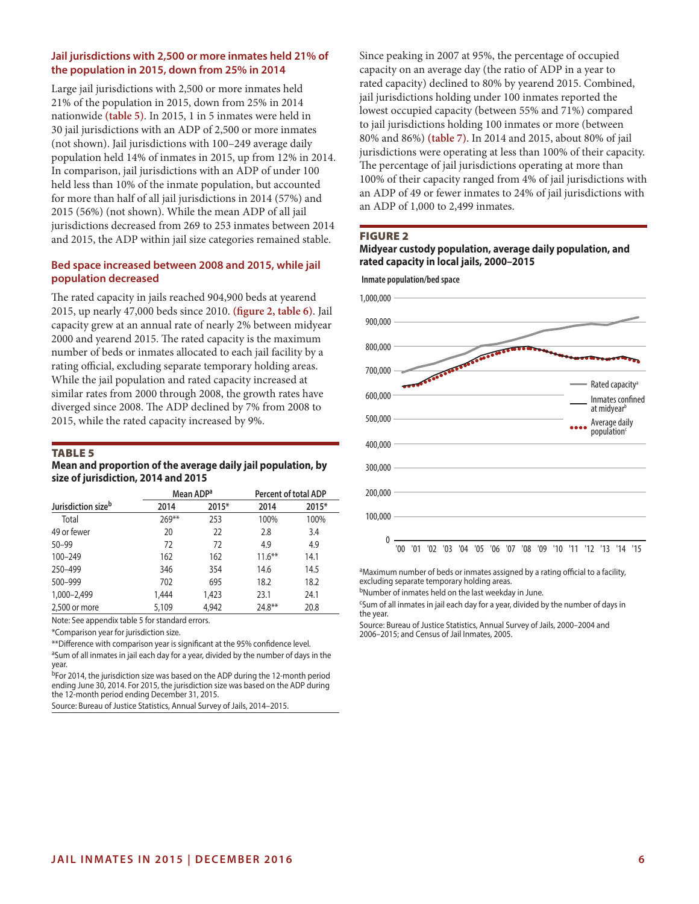## **Jail jurisdictions with 2,500 or more inmates held 21% of the population in 2015, down from 25% in 2014**

Large jail jurisdictions with 2,500 or more inmates held 21% of the population in 2015, down from 25% in 2014 nationwide **(table 5)**. In 2015, 1 in 5 inmates were held in 30 jail jurisdictions with an ADP of 2,500 or more inmates (not shown). Jail jurisdictions with 100–249 average daily population held 14% of inmates in 2015, up from 12% in 2014. In comparison, jail jurisdictions with an ADP of under 100 held less than 10% of the inmate population, but accounted for more than half of all jail jurisdictions in 2014 (57%) and 2015 (56%) (not shown). While the mean ADP of all jail jurisdictions decreased from 269 to 253 inmates between 2014 and 2015, the ADP within jail size categories remained stable.

## **Bed space increased between 2008 and 2015, while jail population decreased**

The rated capacity in jails reached 904,900 beds at yearend 2015, up nearly 47,000 beds since 2010. **(figure 2, table 6)**. Jail capacity grew at an annual rate of nearly 2% between midyear 2000 and yearend 2015. The rated capacity is the maximum number of beds or inmates allocated to each jail facility by a rating official, excluding separate temporary holding areas. While the jail population and rated capacity increased at similar rates from 2000 through 2008, the growth rates have diverged since 2008. The ADP declined by 7% from 2008 to 2015, while the rated capacity increased by 9%.

## Table 5

#### **Mean and proportion of the average daily jail population, by size of jurisdiction, 2014 and 2015**

|                                |         | Mean ADP <sup>a</sup> | Percent of total ADP |       |
|--------------------------------|---------|-----------------------|----------------------|-------|
| Jurisdiction size <sup>b</sup> | 2014    | 2015*                 | 2014                 | 2015* |
| Total                          | $269**$ | 253                   | 100%                 | 100%  |
| 49 or fewer                    | 20      | 22                    | 2.8                  | 3.4   |
| $50 - 99$                      | 72      | 72                    | 4.9                  | 4.9   |
| 100-249                        | 162     | 162                   | $11.6***$            | 14.1  |
| 250-499                        | 346     | 354                   | 14.6                 | 14.5  |
| 500-999                        | 702     | 695                   | 18.2                 | 18.2  |
| 1,000-2,499                    | 1,444   | 1,423                 | 23.1                 | 24.1  |
| 2,500 or more                  | 5,109   | 4.942                 | $24.8**$             | 20.8  |

Note: See appendix table 5 for standard errors.

\*Comparison year for jurisdiction size.

\*\*Difference with comparison year is significant at the 95% confidence level.

aSum of all inmates in jail each day for a year, divided by the number of days in the year.

bFor 2014, the jurisdiction size was based on the ADP during the 12-month period ending June 30, 2014. For 2015, the jurisdiction size was based on the ADP during the 12-month period ending December 31, 2015.

Source: Bureau of Justice Statistics, Annual Survey of Jails, 2014–2015.

Since peaking in 2007 at 95%, the percentage of occupied capacity on an average day (the ratio of ADP in a year to rated capacity) declined to 80% by yearend 2015. Combined, jail jurisdictions holding under 100 inmates reported the lowest occupied capacity (between 55% and 71%) compared to jail jurisdictions holding 100 inmates or more (between 80% and 86%) **(table 7)**. In 2014 and 2015, about 80% of jail jurisdictions were operating at less than 100% of their capacity. The percentage of jail jurisdictions operating at more than 100% of their capacity ranged from 4% of jail jurisdictions with an ADP of 49 or fewer inmates to 24% of jail jurisdictions with an ADP of 1,000 to 2,499 inmates.

#### FIGURE 2

## **Midyear custody population, average daily population, and rated capacity in local jails, 2000–2015**



<sup>a</sup>Maximum number of beds or inmates assigned by a rating official to a facility, excluding separate temporary holding areas.

bNumber of inmates held on the last weekday in June.

<sup>c</sup>Sum of all inmates in jail each day for a year, divided by the number of days in the year.

Source: Bureau of Justice Statistics, Annual Survey of Jails, 2000–2004 and 2006–2015; and Census of Jail Inmates, 2005.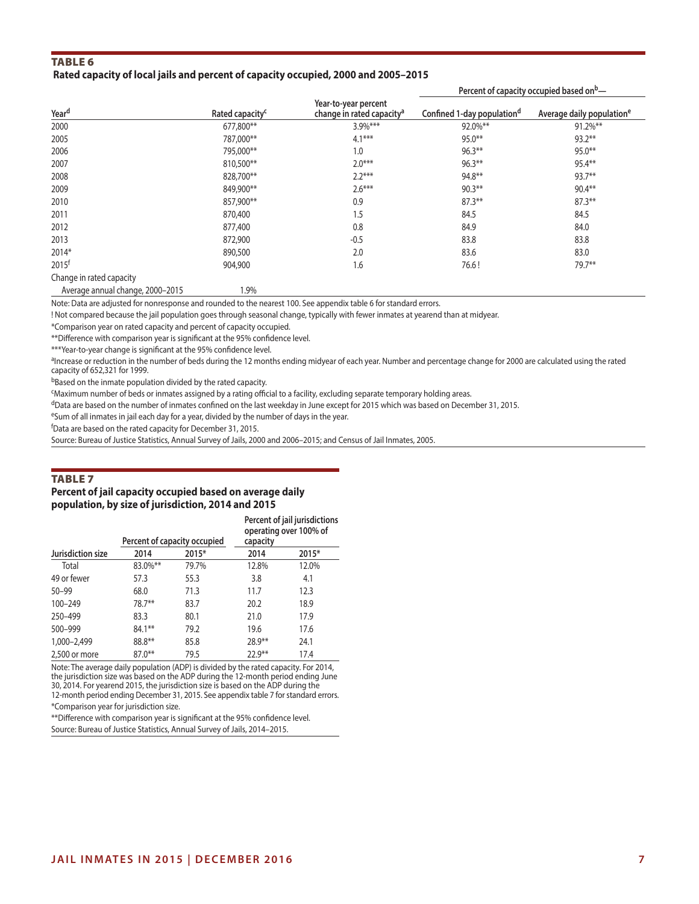## TABLE<sub>6</sub>

## **Rated capacity of local jails and percent of capacity occupied, 2000 and 2005–2015**

**Yeard Rated capacityc Year-to-year percent Confined 1-day populationd** Average daily population<sup>e</sup> 2000 677,800\*\* 3.9%\*\*\* 92.0%\*\* 91.2%\*\*  $787,000^{**}$   $787,000^{**}$   $4.1^{***}$   $95.0^{**}$   $95.0^{**}$   $93.2^{**}$  $795,000^{**}$  and  $795,000^{**}$  and  $795,000^{**}$  and  $795,000^{**}$  and  $795,000^{**}$  and  $795,000^{**}$  and  $795,000^{**}$  and  $795,000^{**}$  and  $795,000^{**}$  and  $795,000^{**}$  and  $795,000^{**}$  and  $795,000^{**}$  and  $795,000^{**}$  and 2007 810,500\*\* 2.0\*\*\* 96.3\*\* 95.4\*\* 2008 828,700\*\* 2.2\*\*\* 94.8\*\* 93.7\*\*  $849,900^{**}$   $849,900^{**}$   $2.6^{***}$   $90.3^{**}$   $90.3^{**}$   $90.4^{**}$  $2010$  87.3\*\* 87.3\*\* 87.3\*\* 87.3\*\* 87.3\*\* 87.3\*\* 87.3\*\* 87.3\*\* 87.3\*\* 87.3\* 87.3\* 87.3\* 87.3\* 87.3\* 87.3\* 87.3\* 87.3\* 87.3\* 87.3\* 87.3\* 87.3\* 87.3\* 87.3\* 87.3\* 87.3\* 87.3\* 87.3\* 87.3\* 87.3\* 87.3\* 87.3\* 87.3\* 87.3\* 87.3\* 8 2011 870,400 1.5 84.5 84.5 2012 877,400 0.8 84.9 84.0 2013 872,900 -0.5 83.8 83.8 2014\* 890,500 2.0 83.6 83.0  $2015$ <sup>f</sup> 2015<sup>f</sup> 2012 1.6 2015<sup>f</sup> 2021 2015<sup>f</sup> 2021 2015<sup>f</sup> 2021 2015<sup>f</sup> 2021 2015<sup>f</sup> 2021 2015 Change in rated capacity

**Percent of capacity occupied based onb—**

Average annual change, 2000–2015 1.9%

Note: Data are adjusted for nonresponse and rounded to the nearest 100. See appendix table 6 for standard errors.

! Not compared because the jail population goes through seasonal change, typically with fewer inmates at yearend than at midyear.

\*Comparison year on rated capacity and percent of capacity occupied.

\*\*Difference with comparison year is significant at the 95% confidence level.

\*\*\*Year-to-year change is significant at the 95% confidence level.

aIncrease or reduction in the number of beds during the 12 months ending midyear of each year. Number and percentage change for 2000 are calculated using the rated capacity of 652,321 for 1999.

bBased on the inmate population divided by the rated capacity.

cMaximum number of beds or inmates assigned by a rating official to a facility, excluding separate temporary holding areas.

dData are based on the number of inmates confined on the last weekday in June except for 2015 which was based on December 31, 2015.

eSum of all inmates in jail each day for a year, divided by the number of days in the year.

f Data are based on the rated capacity for December 31, 2015.

Source: Bureau of Justice Statistics, Annual Survey of Jails, 2000 and 2006–2015; and Census of Jail Inmates, 2005.

#### Table 7

#### **Percent of jail capacity occupied based on average daily population, by size of jurisdiction, 2014 and 2015**

|                   |          | Percent of capacity occupied | Percent of jail jurisdictions<br>operating over 100% of<br>capacity |       |  |
|-------------------|----------|------------------------------|---------------------------------------------------------------------|-------|--|
| Jurisdiction size | 2014     | 2015*                        | 2014                                                                | 2015* |  |
| Total             | 83.0%**  | 79.7%                        | 12.8%                                                               | 12.0% |  |
| 49 or fewer       | 57.3     | 55.3                         | 3.8                                                                 | 4.1   |  |
| $50 - 99$         | 68.0     | 71.3                         | 11.7                                                                | 12.3  |  |
| 100-249           | 78.7**   | 83.7                         | 20.2                                                                | 18.9  |  |
| 250-499           | 83.3     | 80.1                         | 21.0                                                                | 17.9  |  |
| 500-999           | 84.1**   | 79.2                         | 19.6                                                                | 17.6  |  |
| 1,000-2,499       | 88.8**   | 85.8                         | $28.9**$                                                            | 24.1  |  |
| 2,500 or more     | $87.0**$ | 79.5                         | $22.9**$                                                            | 17.4  |  |

Note: The average daily population (ADP) is divided by the rated capacity. For 2014, the jurisdiction size was based on the ADP during the 12-month period ending June 30, 2014. For yearend 2015, the jurisdiction size is based on the ADP during the 12-month period ending December 31, 2015. See appendix table 7 for standard errors.

\*Comparison year for jurisdiction size.

\*\*Difference with comparison year is significant at the 95% confidence level. Source: Bureau of Justice Statistics, Annual Survey of Jails, 2014–2015.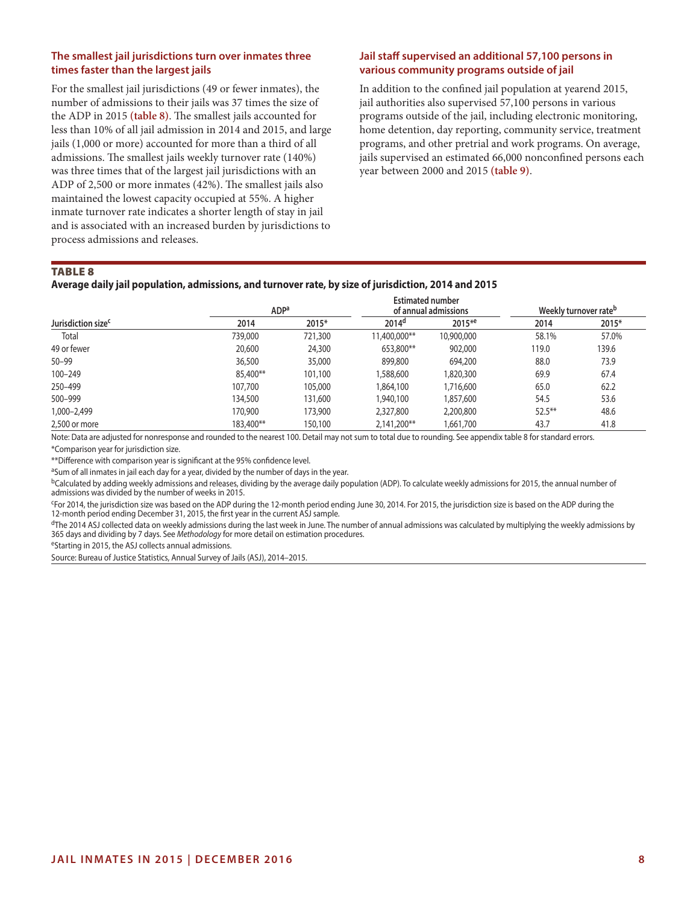## **The smallest jail jurisdictions turn over inmates three times faster than the largest jails**

For the smallest jail jurisdictions (49 or fewer inmates), the number of admissions to their jails was 37 times the size of the ADP in 2015 **(table 8)**. The smallest jails accounted for less than 10% of all jail admission in 2014 and 2015, and large jails (1,000 or more) accounted for more than a third of all admissions. The smallest jails weekly turnover rate (140%) was three times that of the largest jail jurisdictions with an ADP of 2,500 or more inmates (42%). The smallest jails also maintained the lowest capacity occupied at 55%. A higher inmate turnover rate indicates a shorter length of stay in jail and is associated with an increased burden by jurisdictions to process admissions and releases.

## **Jail staff supervised an additional 57,100 persons in various community programs outside of jail**

In addition to the confined jail population at yearend 2015, jail authorities also supervised 57,100 persons in various programs outside of the jail, including electronic monitoring, home detention, day reporting, community service, treatment programs, and other pretrial and work programs. On average, jails supervised an estimated 66,000 nonconfined persons each year between 2000 and 2015 **(table 9)**.

## Table 8

## **Average daily jail population, admissions, and turnover rate, by size of jurisdiction, 2014 and 2015**

|                                | <b>ADP</b> <sup>a</sup> | <b>Estimated number</b> | of annual admissions | Weekly turnover rate <sup>b</sup> |           |       |
|--------------------------------|-------------------------|-------------------------|----------------------|-----------------------------------|-----------|-------|
| Jurisdiction size <sup>c</sup> | 2014                    | 2015*                   | 2014 <sup>d</sup>    | $2015*e$                          | 2014      | 2015* |
| Total                          | 739,000                 | 721,300                 | 11,400,000**         | 10,900,000                        | 58.1%     | 57.0% |
| 49 or fewer                    | 20,600                  | 24,300                  | 653,800**            | 902,000                           | 119.0     | 139.6 |
| $50 - 99$                      | 36,500                  | 35,000                  | 899,800              | 694,200                           | 88.0      | 73.9  |
| 100-249                        | 85,400**                | 101,100                 | 1,588,600            | 1,820,300                         | 69.9      | 67.4  |
| 250-499                        | 107,700                 | 105,000                 | 1,864,100            | 1,716,600                         | 65.0      | 62.2  |
| 500-999                        | 134,500                 | 131,600                 | 1,940,100            | 1,857,600                         | 54.5      | 53.6  |
| 1,000–2,499                    | 170,900                 | 173,900                 | 2,327,800            | 2,200,800                         | $52.5***$ | 48.6  |
| 2,500 or more                  | 183,400**               | 150,100                 | 2,141,200**          | 1,661,700                         | 43.7      | 41.8  |

Note: Data are adjusted for nonresponse and rounded to the nearest 100. Detail may not sum to total due to rounding. See appendix table 8 for standard errors. \*Comparison year for jurisdiction size.

\*\*Difference with comparison year is significant at the 95% confidence level.

<sup>a</sup>Sum of all inmates in jail each day for a year, divided by the number of days in the year.

<sup>b</sup>Calculated by adding weekly admissions and releases, dividing by the average daily population (ADP). To calculate weekly admissions for 2015, the annual number of admissions was divided by the number of weeks in 2015.

cFor 2014, the jurisdiction size was based on the ADP during the 12-month period ending June 30, 2014. For 2015, the jurisdiction size is based on the ADP during the 12-month period ending December 31, 2015, the first year in the current ASJ sample.

 $d$ The 2014 ASJ collected data on weekly admissions during the last week in June. The number of annual admissions was calculated by multiplying the weekly admissions by 365 days and dividing by 7 days. See *Methodology* for more detail on estimation procedures.<br><sup>e</sup>Starting in 2015, the ASJ collects annual admissions.

Source: Bureau of Justice Statistics, Annual Survey of Jails (ASJ), 2014–2015.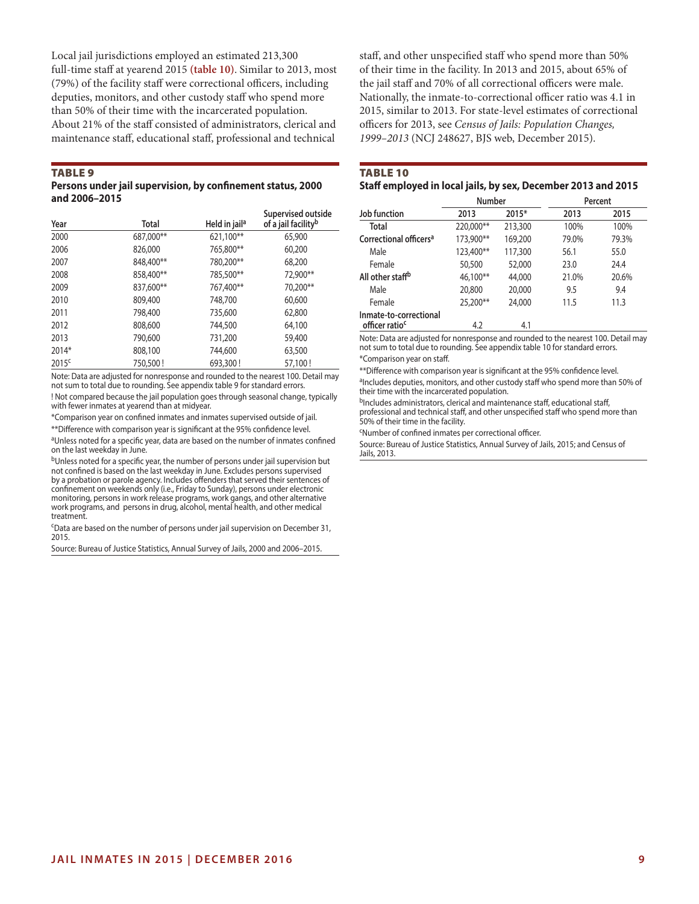Local jail jurisdictions employed an estimated 213,300 full-time staff at yearend 2015 **(table 10)**. Similar to 2013, most (79%) of the facility staff were correctional officers, including deputies, monitors, and other custody staff who spend more than 50% of their time with the incarcerated population. About 21% of the staff consisted of administrators, clerical and maintenance staff, educational staff, professional and technical

#### **TABLE 9**

**Persons under jail supervision, by confinement status, 2000 and 2006–2015**

| Year              | Total     | Held in jail <sup>a</sup> | Supervised outside<br>of a jail facility <sup>b</sup> |
|-------------------|-----------|---------------------------|-------------------------------------------------------|
| 2000              | 687,000** | 621,100**                 | 65,900                                                |
| 2006              | 826,000   | 765,800**                 | 60,200                                                |
| 2007              | 848,400** | 780,200**                 | 68,200                                                |
| 2008              | 858,400** | 785,500**                 | 72,900**                                              |
| 2009              | 837,600** | 767,400**                 | 70,200**                                              |
| 2010              | 809,400   | 748,700                   | 60,600                                                |
| 2011              | 798,400   | 735,600                   | 62,800                                                |
| 2012              | 808,600   | 744,500                   | 64,100                                                |
| 2013              | 790,600   | 731,200                   | 59,400                                                |
| 2014*             | 808,100   | 744,600                   | 63,500                                                |
| 2015 <sup>c</sup> | 750,500!  | 693,300!                  | 57,100!                                               |

Note: Data are adjusted for nonresponse and rounded to the nearest 100. Detail may not sum to total due to rounding. See appendix table 9 for standard errors.

! Not compared because the jail population goes through seasonal change, typically with fewer inmates at yearend than at midyear.

\*Comparison year on confined inmates and inmates supervised outside of jail. \*\*Difference with comparison year is significant at the 95% confidence level.

aUnless noted for a specific year, data are based on the number of inmates confined on the last weekday in June.

bUnless noted for a specific year, the number of persons under jail supervision but not confined is based on the last weekday in June. Excludes persons supervised by a probation or parole agency. Includes offenders that served their sentences of confinement on weekends only (i.e., Friday to Sunday), persons under electronic monitoring, persons in work release programs, work gangs, and other alternative work programs, and persons in drug, alcohol, mental health, and other medical treatment.

cData are based on the number of persons under jail supervision on December 31, 2015.

Source: Bureau of Justice Statistics, Annual Survey of Jails, 2000 and 2006–2015.

staff, and other unspecified staff who spend more than 50% of their time in the facility. In 2013 and 2015, about 65% of the jail staff and 70% of all correctional officers were male. Nationally, the inmate-to-correctional officer ratio was 4.1 in 2015, similar to 2013. For state-level estimates of correctional officers for 2013, see *Census of Jails: Population Changes, 1999–2013* (NCJ 248627, BJS web, December 2015).

#### Table 10

## **Staff employed in local jails, by sex, December 2013 and 2015**

|                                                      | <b>Number</b> |         |       | Percent |
|------------------------------------------------------|---------------|---------|-------|---------|
| Job function                                         | 2013          | $2015*$ | 2013  | 2015    |
| Total                                                | 220,000**     | 213,300 | 100%  | 100%    |
| Correctional officers <sup>a</sup>                   | 173,900**     | 169,200 | 79.0% | 79.3%   |
| Male                                                 | 123,400**     | 117,300 | 56.1  | 55.0    |
| Female                                               | 50,500        | 52,000  | 23.0  | 24.4    |
| All other staff <sup>b</sup>                         | 46,100**      | 44,000  | 21.0% | 20.6%   |
| Male                                                 | 20,800        | 20,000  | 9.5   | 9.4     |
| Female                                               | 25,200**      | 24,000  | 11.5  | 11.3    |
| Inmate-to-correctional<br>officer ratio <sup>c</sup> | 4.2           | 4.1     |       |         |

Note: Data are adjusted for nonresponse and rounded to the nearest 100. Detail may not sum to total due to rounding. See appendix table 10 for standard errors.

\*Comparison year on staff.

\*\*Difference with comparison year is significant at the 95% confidence level. <sup>a</sup>Includes deputies, monitors, and other custody staff who spend more than 50% of their time with the incarcerated population.

bIncludes administrators, clerical and maintenance staff, educational staff, professional and technical staff, and other unspecified staff who spend more than 50% of their time in the facility.

cNumber of confined inmates per correctional officer.

Source: Bureau of Justice Statistics, Annual Survey of Jails, 2015; and Census of Jails, 2013.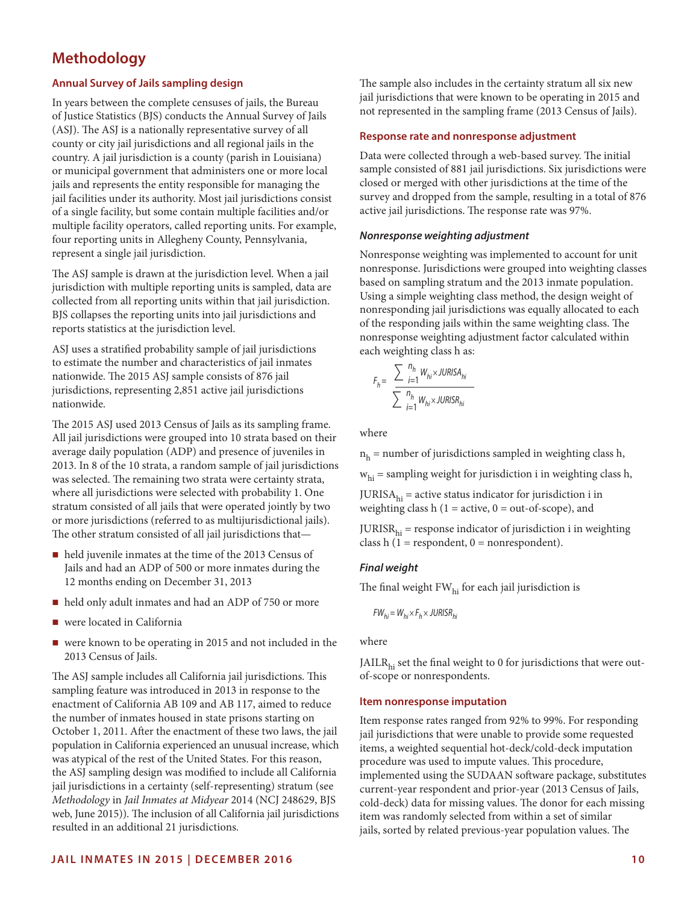# **Methodology**

## **Annual Survey of Jails sampling design**

In years between the complete censuses of jails, the Bureau of Justice Statistics (BJS) conducts the Annual Survey of Jails (ASJ). The ASJ is a nationally representative survey of all county or city jail jurisdictions and all regional jails in the country. A jail jurisdiction is a county (parish in Louisiana) or municipal government that administers one or more local jails and represents the entity responsible for managing the jail facilities under its authority. Most jail jurisdictions consist of a single facility, but some contain multiple facilities and/or multiple facility operators, called reporting units. For example, four reporting units in Allegheny County, Pennsylvania, represent a single jail jurisdiction.

The ASJ sample is drawn at the jurisdiction level. When a jail jurisdiction with multiple reporting units is sampled, data are collected from all reporting units within that jail jurisdiction. BJS collapses the reporting units into jail jurisdictions and reports statistics at the jurisdiction level.

ASJ uses a stratified probability sample of jail jurisdictions to estimate the number and characteristics of jail inmates nationwide. The 2015 ASJ sample consists of 876 jail jurisdictions, representing 2,851 active jail jurisdictions nationwide.

The 2015 ASJ used 2013 Census of Jails as its sampling frame. All jail jurisdictions were grouped into 10 strata based on their average daily population (ADP) and presence of juveniles in 2013. In 8 of the 10 strata, a random sample of jail jurisdictions was selected. The remaining two strata were certainty strata, where all jurisdictions were selected with probability 1. One stratum consisted of all jails that were operated jointly by two or more jurisdictions (referred to as multijurisdictional jails). The other stratum consisted of all jail jurisdictions that—

- held juvenile inmates at the time of the 2013 Census of Jails and had an ADP of 500 or more inmates during the 12 months ending on December 31, 2013
- held only adult inmates and had an ADP of 750 or more
- were located in California
- were known to be operating in 2015 and not included in the 2013 Census of Jails.

The ASJ sample includes all California jail jurisdictions. This sampling feature was introduced in 2013 in response to the enactment of California AB 109 and AB 117, aimed to reduce the number of inmates housed in state prisons starting on October 1, 2011. After the enactment of these two laws, the jail population in California experienced an unusual increase, which was atypical of the rest of the United States. For this reason, the ASJ sampling design was modified to include all California jail jurisdictions in a certainty (self-representing) stratum (see *Methodology* in *Jail Inmates at Midyear* 2014 (NCJ 248629, BJS web, June 2015)). The inclusion of all California jail jurisdictions resulted in an additional 21 jurisdictions.

The sample also includes in the certainty stratum all six new jail jurisdictions that were known to be operating in 2015 and not represented in the sampling frame (2013 Census of Jails).

## **Response rate and nonresponse adjustment**

Data were collected through a web-based survey. The initial sample consisted of 881 jail jurisdictions. Six jurisdictions were closed or merged with other jurisdictions at the time of the survey and dropped from the sample, resulting in a total of 876 active jail jurisdictions. The response rate was 97%.

## *Nonresponse weighting adjustment*

Nonresponse weighting was implemented to account for unit nonresponse. Jurisdictions were grouped into weighting classes based on sampling stratum and the 2013 inmate population. Using a simple weighting class method, the design weight of nonresponding jail jurisdictions was equally allocated to each of the responding jails within the same weighting class. The nonresponse weighting adjustment factor calculated within each weighting class h as:

$$
F_h = \frac{\sum_{i=1}^{n_h} W_{hi} \times JURISA_{hi}}{\sum_{i=1}^{n_h} W_{hi} \times JURISR_{hi}}
$$

where

 $n<sub>h</sub>$  = number of jurisdictions sampled in weighting class h,

 $w<sub>hi</sub>$  = sampling weight for jurisdiction i in weighting class h,

 $JURISA<sub>hi</sub> = active status indicator for jurisdiction i in$ weighting class h ( $1 =$  active,  $0 =$  out-of-scope), and

 $JURISR<sub>hi</sub>$  = response indicator of jurisdiction i in weighting class h (1 = respondent,  $0$  = nonrespondent).

## *Final weight*

The final weight  $FW<sub>hi</sub>$  for each jail jurisdiction is

$$
FW_{hi} = W_{hi} \times F_h \times JURISR_{hi}
$$

where

JAILR $_{hi}$  set the final weight to 0 for jurisdictions that were outof-scope or nonrespondents.

## **Item nonresponse imputation**

Item response rates ranged from 92% to 99%. For responding jail jurisdictions that were unable to provide some requested items, a weighted sequential hot-deck/cold-deck imputation procedure was used to impute values. This procedure, implemented using the SUDAAN software package, substitutes current-year respondent and prior-year (2013 Census of Jails, cold-deck) data for missing values. The donor for each missing item was randomly selected from within a set of similar jails, sorted by related previous-year population values. The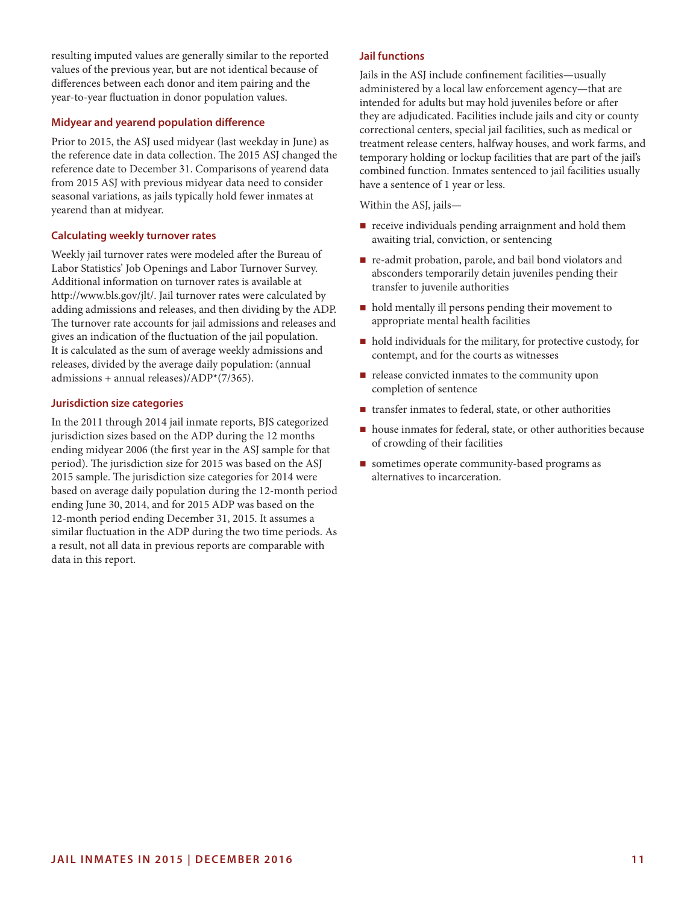resulting imputed values are generally similar to the reported values of the previous year, but are not identical because of differences between each donor and item pairing and the year-to-year fluctuation in donor population values.

## **Midyear and yearend population difference**

Prior to 2015, the ASJ used midyear (last weekday in June) as the reference date in data collection. The 2015 ASJ changed the reference date to December 31. Comparisons of yearend data from 2015 ASJ with previous midyear data need to consider seasonal variations, as jails typically hold fewer inmates at yearend than at midyear.

## **Calculating weekly turnover rates**

Weekly jail turnover rates were modeled after the Bureau of Labor Statistics' Job Openings and Labor Turnover Survey. Additional information on turnover rates is available at http://www.bls.gov/jlt/. Jail turnover rates were calculated by adding admissions and releases, and then dividing by the ADP. The turnover rate accounts for jail admissions and releases and gives an indication of the fluctuation of the jail population. It is calculated as the sum of average weekly admissions and releases, divided by the average daily population: (annual admissions + annual releases)/ADP\*(7/365).

## **Jurisdiction size categories**

In the 2011 through 2014 jail inmate reports, BJS categorized jurisdiction sizes based on the ADP during the 12 months ending midyear 2006 (the first year in the ASJ sample for that period). The jurisdiction size for 2015 was based on the ASJ 2015 sample. The jurisdiction size categories for 2014 were based on average daily population during the 12-month period ending June 30, 2014, and for 2015 ADP was based on the 12-month period ending December 31, 2015. It assumes a similar fluctuation in the ADP during the two time periods. As a result, not all data in previous reports are comparable with data in this report.

## **Jail functions**

Jails in the ASJ include confinement facilities—usually administered by a local law enforcement agency—that are intended for adults but may hold juveniles before or after they are adjudicated. Facilities include jails and city or county correctional centers, special jail facilities, such as medical or treatment release centers, halfway houses, and work farms, and temporary holding or lockup facilities that are part of the jail's combined function. Inmates sentenced to jail facilities usually have a sentence of 1 year or less.

Within the ASJ, jails—

- **receive individuals pending arraignment and hold them** awaiting trial, conviction, or sentencing
- re-admit probation, parole, and bail bond violators and absconders temporarily detain juveniles pending their transfer to juvenile authorities
- $\blacksquare$  hold mentally ill persons pending their movement to appropriate mental health facilities
- $\blacksquare$  hold individuals for the military, for protective custody, for contempt, and for the courts as witnesses
- $\blacksquare$  release convicted inmates to the community upon completion of sentence
- $\blacksquare$  transfer inmates to federal, state, or other authorities
- house inmates for federal, state, or other authorities because of crowding of their facilities
- sometimes operate community-based programs as alternatives to incarceration.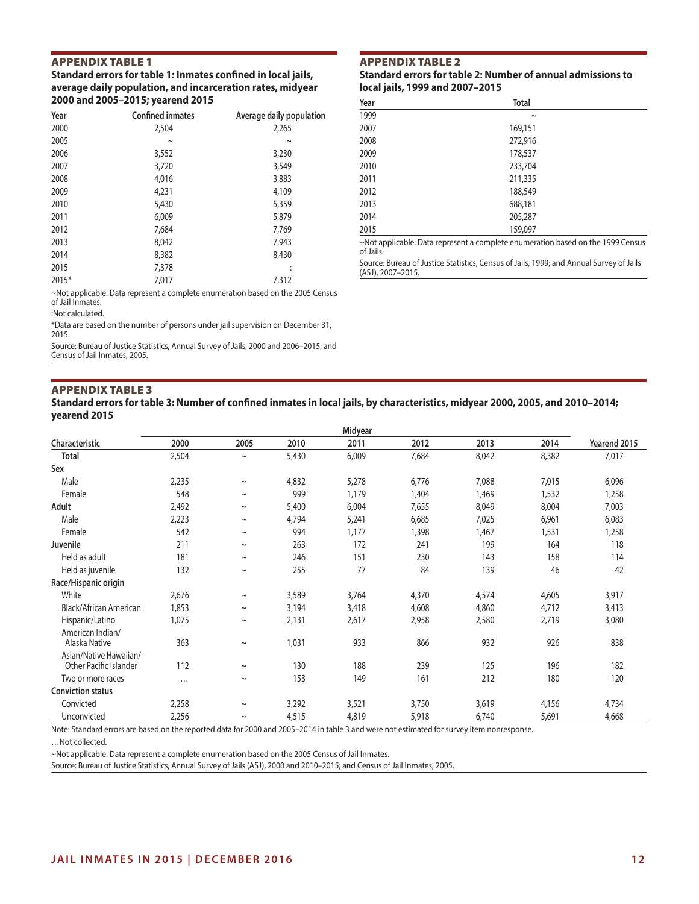## APPENDIX TABLE 1

## **Standard errors for table 1: Inmates confined in local jails, average daily population, and incarceration rates, midyear 2000 and 2005–2015; yearend 2015**

| Year  | <b>Confined inmates</b> | Average daily population |
|-------|-------------------------|--------------------------|
| 2000  | 2,504                   | 2,265                    |
| 2005  | $\sim$                  | $\sim$                   |
| 2006  | 3,552                   | 3,230                    |
| 2007  | 3,720                   | 3,549                    |
| 2008  | 4,016                   | 3,883                    |
| 2009  | 4.231                   | 4,109                    |
| 2010  | 5,430                   | 5,359                    |
| 2011  | 6,009                   | 5,879                    |
| 2012  | 7,684                   | 7,769                    |
| 2013  | 8,042                   | 7,943                    |
| 2014  | 8,382                   | 8,430                    |
| 2015  | 7,378                   | ٠                        |
| 2015* | 7.017                   | 7,312                    |

APPENDIX TABLE 2

**Standard errors for table 2: Number of annual admissions to local jails, 1999 and 2007–2015**

| Year | <b>Total</b>                                                                         |  |
|------|--------------------------------------------------------------------------------------|--|
| 1999 | $\sim$                                                                               |  |
| 2007 | 169,151                                                                              |  |
| 2008 | 272,916                                                                              |  |
| 2009 | 178,537                                                                              |  |
| 2010 | 233,704                                                                              |  |
| 2011 | 211,335                                                                              |  |
| 2012 | 188,549                                                                              |  |
| 2013 | 688,181                                                                              |  |
| 2014 | 205,287                                                                              |  |
| 2015 | 159,097                                                                              |  |
|      | $\sim$ Not annlicable Data represent a complete enumeration based on the 1999 Census |  |

applicable. Data represent a complete enumeration based on the 1999 Census of Jails.

Source: Bureau of Justice Statistics, Census of Jails, 1999; and Annual Survey of Jails (ASJ), 2007–2015.

~Not applicable. Data represent a complete enumeration based on the 2005 Census of Jail Inmates.

:Not calculated.

\*Data are based on the number of persons under jail supervision on December 31, 2015.

Source: Bureau of Justice Statistics, Annual Survey of Jails, 2000 and 2006–2015; and Census of Jail Inmates, 2005.

## APPENDIX TABLE 3

#### **Standard errors for table 3: Number of confined inmates in local jails, by characteristics, midyear 2000, 2005, and 2010–2014; yearend 2015**

|                                                  | Midyear  |             |       |       |       |       |       |              |
|--------------------------------------------------|----------|-------------|-------|-------|-------|-------|-------|--------------|
| Characteristic                                   | 2000     | 2005        | 2010  | 2011  | 2012  | 2013  | 2014  | Yearend 2015 |
| <b>Total</b>                                     | 2,504    | $\sim$      | 5,430 | 6,009 | 7,684 | 8,042 | 8,382 | 7,017        |
| Sex                                              |          |             |       |       |       |       |       |              |
| Male                                             | 2,235    | $\sim$      | 4,832 | 5,278 | 6,776 | 7,088 | 7,015 | 6,096        |
| Female                                           | 548      | $\sim$      | 999   | 1,179 | 1,404 | 1,469 | 1,532 | 1,258        |
| Adult                                            | 2,492    | $\sim$      | 5,400 | 6,004 | 7,655 | 8,049 | 8,004 | 7,003        |
| Male                                             | 2,223    | $\sim$      | 4,794 | 5,241 | 6,685 | 7,025 | 6,961 | 6,083        |
| Female                                           | 542      | $\sim$      | 994   | 1,177 | 1,398 | 1,467 | 1,531 | 1,258        |
| Juvenile                                         | 211      | $\sim$      | 263   | 172   | 241   | 199   | 164   | 118          |
| Held as adult                                    | 181      | $\sim$      | 246   | 151   | 230   | 143   | 158   | 114          |
| Held as juvenile                                 | 132      | $\sim$      | 255   | 77    | 84    | 139   | 46    | 42           |
| Race/Hispanic origin                             |          |             |       |       |       |       |       |              |
| White                                            | 2,676    | $\sim$      | 3,589 | 3,764 | 4,370 | 4,574 | 4,605 | 3,917        |
| Black/African American                           | 1,853    | $\sim$      | 3,194 | 3,418 | 4,608 | 4,860 | 4,712 | 3,413        |
| Hispanic/Latino                                  | 1,075    | $\thicksim$ | 2,131 | 2,617 | 2,958 | 2,580 | 2,719 | 3,080        |
| American Indian/<br>Alaska Native                | 363      | $\sim$      | 1,031 | 933   | 866   | 932   | 926   | 838          |
| Asian/Native Hawaiian/<br>Other Pacific Islander | 112      | $\sim$      | 130   | 188   | 239   | 125   | 196   | 182          |
| Two or more races                                | $\cdots$ | $\sim$      | 153   | 149   | 161   | 212   | 180   | 120          |
| <b>Conviction status</b>                         |          |             |       |       |       |       |       |              |
| Convicted                                        | 2,258    | $\thicksim$ | 3,292 | 3,521 | 3,750 | 3,619 | 4,156 | 4,734        |
| Unconvicted                                      | 2,256    | $\sim$      | 4,515 | 4,819 | 5,918 | 6,740 | 5,691 | 4,668        |

Note: Standard errors are based on the reported data for 2000 and 2005–2014 in table 3 and were not estimated for survey item nonresponse.

…Not collected.

~Not applicable. Data represent a complete enumeration based on the 2005 Census of Jail Inmates.

Source: Bureau of Justice Statistics, Annual Survey of Jails (ASJ), 2000 and 2010–2015; and Census of Jail Inmates, 2005.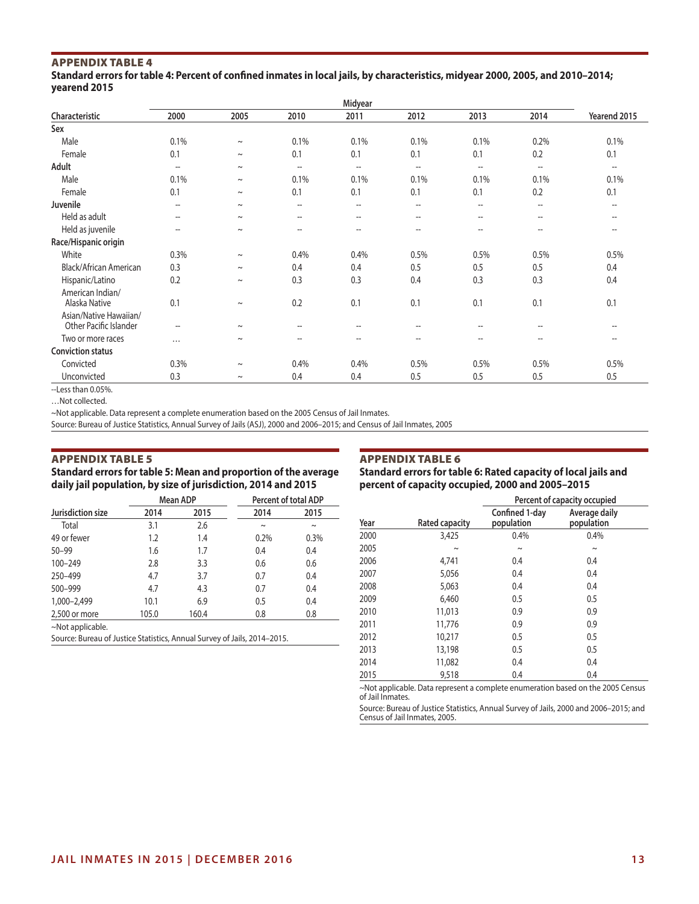## APPENDIX TABLE 4

**Standard errors for table 4: Percent of confined inmates in local jails, by characteristics, midyear 2000, 2005, and 2010–2014; yearend 2015**

|                                   | Midyear                  |        |                                       |                          |                                                     |                          |                                       |                          |
|-----------------------------------|--------------------------|--------|---------------------------------------|--------------------------|-----------------------------------------------------|--------------------------|---------------------------------------|--------------------------|
| Characteristic                    | 2000                     | 2005   | 2010                                  | 2011                     | 2012                                                | 2013                     | 2014                                  | Yearend 2015             |
| Sex                               |                          |        |                                       |                          |                                                     |                          |                                       |                          |
| Male                              | 0.1%                     | $\sim$ | 0.1%                                  | 0.1%                     | 0.1%                                                | 0.1%                     | 0.2%                                  | 0.1%                     |
| Female                            | 0.1                      | $\sim$ | 0.1                                   | 0.1                      | 0.1                                                 | 0.1                      | 0.2                                   | 0.1                      |
| Adult                             | $\overline{\phantom{a}}$ | $\sim$ | $\overline{\phantom{a}}$              | $\overline{a}$           | $\hspace{0.05cm}$ $\hspace{0.05cm}$                 | $\overline{\phantom{a}}$ | $\overline{\phantom{a}}$              | $\overline{\phantom{a}}$ |
| Male                              | 0.1%                     | $\sim$ | 0.1%                                  | 0.1%                     | 0.1%                                                | 0.1%                     | 0.1%                                  | 0.1%                     |
| Female                            | 0.1                      | $\sim$ | 0.1                                   | 0.1                      | 0.1                                                 | 0.1                      | 0.2                                   | 0.1                      |
| Juvenile                          | $- -$                    | $\sim$ | $\overline{\phantom{a}}$              | $\overline{a}$           | $\hspace{0.05cm}$ $\hspace{0.05cm}$                 | --                       | $\overline{\phantom{a}}$              | $\hspace{0.05cm} \ldots$ |
| Held as adult                     | $\hspace{0.05cm} \ldots$ | $\sim$ | $\hspace{0.05cm}$ – $\hspace{0.05cm}$ | $\overline{\phantom{a}}$ | $\hspace{0.05cm} -\hspace{0.05cm} -\hspace{0.05cm}$ | $\overline{\phantom{a}}$ | $\hspace{0.05cm}$ – $\hspace{0.05cm}$ | $\hspace{0.05cm} \ldots$ |
| Held as juvenile                  | $\overline{\phantom{a}}$ | $\sim$ | $\overline{\phantom{a}}$              | $\overline{\phantom{a}}$ | $\hspace{0.05cm} -\hspace{0.05cm} -\hspace{0.05cm}$ | $\overline{\phantom{a}}$ | --                                    | $\overline{\phantom{a}}$ |
| Race/Hispanic origin              |                          |        |                                       |                          |                                                     |                          |                                       |                          |
| White                             | 0.3%                     | $\sim$ | 0.4%                                  | 0.4%                     | 0.5%                                                | 0.5%                     | 0.5%                                  | 0.5%                     |
| Black/African American            | 0.3                      | $\sim$ | 0.4                                   | 0.4                      | 0.5                                                 | 0.5                      | 0.5                                   | 0.4                      |
| Hispanic/Latino                   | 0.2                      | $\sim$ | 0.3                                   | 0.3                      | 0.4                                                 | 0.3                      | 0.3                                   | 0.4                      |
| American Indian/<br>Alaska Native | 0.1                      | $\sim$ | 0.2                                   | 0.1                      | 0.1                                                 | 0.1                      | 0.1                                   | 0.1                      |
| Asian/Native Hawaiian/            |                          |        |                                       |                          |                                                     |                          |                                       |                          |
| Other Pacific Islander            | $- -$                    | $\sim$ | $-$                                   | --                       | --                                                  | $-$                      | $-$                                   | $-$                      |
| Two or more races                 | $\cdots$                 | $\sim$ | $-$                                   | --                       | $-$                                                 | $\overline{\phantom{a}}$ | $-$                                   | $-$                      |
| <b>Conviction status</b>          |                          |        |                                       |                          |                                                     |                          |                                       |                          |
| Convicted                         | 0.3%                     | $\sim$ | 0.4%                                  | 0.4%                     | 0.5%                                                | 0.5%                     | 0.5%                                  | 0.5%                     |
| Unconvicted                       | 0.3                      | $\sim$ | 0.4                                   | 0.4                      | 0.5                                                 | 0.5                      | 0.5                                   | 0.5                      |
|                                   |                          |        |                                       |                          |                                                     |                          |                                       |                          |

--Less than 0.05%.

…Not collected.

~Not applicable. Data represent a complete enumeration based on the 2005 Census of Jail Inmates.

Source: Bureau of Justice Statistics, Annual Survey of Jails (ASJ), 2000 and 2006–2015; and Census of Jail Inmates, 2005

## APPENDIX TABLE 5

**Standard errors for table 5: Mean and proportion of the average daily jail population, by size of jurisdiction, 2014 and 2015**

## APPENDIX TABLE 6

**Standard errors for table 6: Rated capacity of local jails and percent of capacity occupied, 2000 and 2005–2015**

|                                                                          |       | Mean ADP | Percent of total ADP |        |
|--------------------------------------------------------------------------|-------|----------|----------------------|--------|
| Jurisdiction size                                                        | 2014  | 2015     | 2014                 | 2015   |
| Total                                                                    | 3.1   | 2.6      | $\sim$               | $\sim$ |
| 49 or fewer                                                              | 1.2   | 1.4      | 0.2%                 | 0.3%   |
| $50 - 99$                                                                | 1.6   | 1.7      | 0.4                  | 0.4    |
| 100-249                                                                  | 2.8   | 3.3      | 0.6                  | 0.6    |
| 250-499                                                                  | 4.7   | 3.7      | 0.7                  | 0.4    |
| 500-999                                                                  | 4.7   | 4.3      | 0.7                  | 0.4    |
| 1,000-2,499                                                              | 10.1  | 6.9      | 0.5                  | 0.4    |
| 2,500 or more                                                            | 105.0 | 160.4    | 0.8                  | 0.8    |
| ~Not applicable.                                                         |       |          |                      |        |
| Source: Bureau of Justice Statistics, Annual Survey of Jails, 2014–2015. |       |          |                      |        |

|      |                | Percent of capacity occupied |                             |  |  |
|------|----------------|------------------------------|-----------------------------|--|--|
| Year | Rated capacity | Confined 1-day<br>population | Average daily<br>population |  |  |
| 2000 | 3,425          | 0.4%                         | 0.4%                        |  |  |
| 2005 | $\sim$         | $\sim$                       | $\sim$                      |  |  |
| 2006 | 4.741          | 0.4                          | 0.4                         |  |  |
| 2007 | 5,056          | 0.4                          | 0.4                         |  |  |
| 2008 | 5,063          | 0.4                          | 0.4                         |  |  |
| 2009 | 6,460          | 0.5                          | 0.5                         |  |  |
| 2010 | 11,013         | 0.9                          | 0.9                         |  |  |
| 2011 | 11,776         | 0.9                          | 0.9                         |  |  |
| 2012 | 10,217         | 0.5                          | 0.5                         |  |  |
| 2013 | 13,198         | 0.5                          | 0.5                         |  |  |
| 2014 | 11,082         | 0.4                          | 0.4                         |  |  |
| 2015 | 9,518          | 0.4                          | 0.4                         |  |  |

~Not applicable. Data represent a complete enumeration based on the 2005 Census of Jail Inmates.

Source: Bureau of Justice Statistics, Annual Survey of Jails, 2000 and 2006–2015; and Census of Jail Inmates, 2005.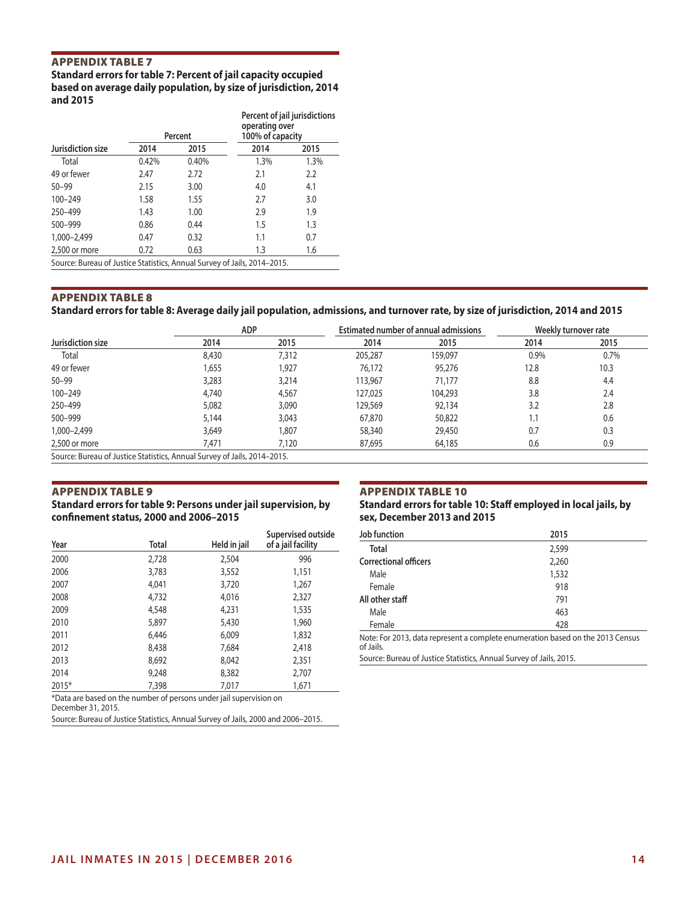## APPENDIX TABLE 7

## **Standard errors for table 7: Percent of jail capacity occupied based on average daily population, by size of jurisdiction, 2014 and 2015**

|                                                                          |       | Percent | Percent of jail jurisdictions<br>operating over<br>100% of capacity |      |  |  |
|--------------------------------------------------------------------------|-------|---------|---------------------------------------------------------------------|------|--|--|
| Jurisdiction size                                                        | 2014  | 2015    | 2014                                                                | 2015 |  |  |
| Total                                                                    | 0.42% | 0.40%   | 1.3%                                                                | 1.3% |  |  |
| 49 or fewer                                                              | 2.47  | 2.72    | 2.1                                                                 | 2.2  |  |  |
| $50 - 99$                                                                | 2.15  | 3.00    | 4.0                                                                 | 4.1  |  |  |
| 100-249                                                                  | 1.58  | 1.55    | 2.7                                                                 | 3.0  |  |  |
| 250-499                                                                  | 1.43  | 1.00    | 2.9                                                                 | 1.9  |  |  |
| 500-999                                                                  | 0.86  | 0.44    | 1.5                                                                 | 1.3  |  |  |
| 1,000-2,499                                                              | 0.47  | 0.32    | 1.1                                                                 | 0.7  |  |  |
| 2,500 or more                                                            | 0.72  | 0.63    | 1.3                                                                 | 1.6  |  |  |
| Source: Bureau of Justice Statistics, Annual Survey of Jails, 2014-2015. |       |         |                                                                     |      |  |  |

## APPENDIX TABLE 8

**Standard errors for table 8: Average daily jail population, admissions, and turnover rate, by size of jurisdiction, 2014 and 2015**

|                                                                          | <b>ADP</b> |       | <b>Estimated number of annual admissions</b> |         | Weekly turnover rate |      |
|--------------------------------------------------------------------------|------------|-------|----------------------------------------------|---------|----------------------|------|
| Jurisdiction size                                                        | 2014       | 2015  | 2014                                         | 2015    | 2014                 | 2015 |
| Total                                                                    | 8,430      | 7,312 | 205,287                                      | 159,097 | 0.9%                 | 0.7% |
| 49 or fewer                                                              | 1,655      | 1,927 | 76,172                                       | 95,276  | 12.8                 | 10.3 |
| $50 - 99$                                                                | 3,283      | 3.214 | 113,967                                      | 71.177  | 8.8                  | 4.4  |
| 100-249                                                                  | 4,740      | 4,567 | 127,025                                      | 104,293 | 3.8                  | 2.4  |
| 250-499                                                                  | 5,082      | 3,090 | 129,569                                      | 92.134  | 3.2                  | 2.8  |
| 500-999                                                                  | 5.144      | 3,043 | 67,870                                       | 50,822  | 1.1                  | 0.6  |
| 1,000-2,499                                                              | 3,649      | 1.807 | 58,340                                       | 29,450  | 0.7                  | 0.3  |
| 2,500 or more                                                            | 7.471      | 7,120 | 87,695                                       | 64,185  | 0.6                  | 0.9  |
| Source: Bureau of Justice Statistics, Annual Survey of Jails, 2014-2015. |            |       |                                              |         |                      |      |

## APPENDIX TABLE 9

**Standard errors for table 9: Persons under jail supervision, by confinement status, 2000 and 2006–2015**

 2,728 2,504 996 3,783 3,552 1,151 4,041 3,720 1,267 4,732 4,016 2,327 4,548 4,231 1,535 5,897 5,430 1,960 6,446 6,009 1,832 8,438 7,684 2,418 8,692 8,042 2,351 9,248 8,382 2,707 2015\* 7,398 7,017 1,671

**Year Total Held in jail**

## APPENDIX TABLE 10

**Standard errors for table 10: Staff employed in local jails, by sex, December 2013 and 2015**

| Supervised outside | Job function                                                                   | 2015  |  |  |  |  |
|--------------------|--------------------------------------------------------------------------------|-------|--|--|--|--|
| of a jail facility | Total                                                                          | 2,599 |  |  |  |  |
| 996                | <b>Correctional officers</b>                                                   | 2,260 |  |  |  |  |
| 1,151              | Male                                                                           | 1,532 |  |  |  |  |
| 1,267              | Female                                                                         | 918   |  |  |  |  |
| 2,327              | All other staff                                                                | 791   |  |  |  |  |
| 1,535              | Male                                                                           | 463   |  |  |  |  |
| 1,960              | Female                                                                         | 428   |  |  |  |  |
| 1,832              | Note: For 2013, data represent a complete enumeration based on the 2013 Census |       |  |  |  |  |
| 2.418              | of Jails.                                                                      |       |  |  |  |  |

Source: Bureau of Justice Statistics, Annual Survey of Jails, 2015.

\*Data are based on the number of persons under jail supervision on

December 31, 2015.

Source: Bureau of Justice Statistics, Annual Survey of Jails, 2000 and 2006–2015.